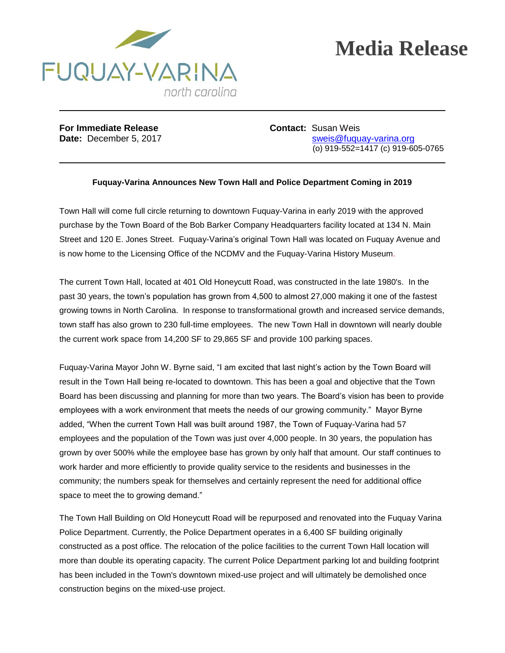

## **Media Release**

**For Immediate Release <b>Contact:** Susan Weis

**Date:** December 5, 2017 state: Sweis@fuquay-varina.org (o) 919-552=1417 (c) 919-605-0765

## **Fuquay-Varina Announces New Town Hall and Police Department Coming in 2019**

Town Hall will come full circle returning to downtown Fuquay-Varina in early 2019 with the approved purchase by the Town Board of the Bob Barker Company Headquarters facility located at 134 N. Main Street and 120 E. Jones Street. Fuquay-Varina's original Town Hall was located on Fuquay Avenue and is now home to the Licensing Office of the NCDMV and the Fuquay-Varina History Museum.

The current Town Hall, located at 401 Old Honeycutt Road, was constructed in the late 1980's. In the past 30 years, the town's population has grown from 4,500 to almost 27,000 making it one of the fastest growing towns in North Carolina. In response to transformational growth and increased service demands, town staff has also grown to 230 full-time employees. The new Town Hall in downtown will nearly double the current work space from 14,200 SF to 29,865 SF and provide 100 parking spaces.

Fuquay-Varina Mayor John W. Byrne said, "I am excited that last night's action by the Town Board will result in the Town Hall being re-located to downtown. This has been a goal and objective that the Town Board has been discussing and planning for more than two years. The Board's vision has been to provide employees with a work environment that meets the needs of our growing community." Mayor Byrne added, "When the current Town Hall was built around 1987, the Town of Fuquay-Varina had 57 employees and the population of the Town was just over 4,000 people. In 30 years, the population has grown by over 500% while the employee base has grown by only half that amount. Our staff continues to work harder and more efficiently to provide quality service to the residents and businesses in the community; the numbers speak for themselves and certainly represent the need for additional office space to meet the to growing demand."

The Town Hall Building on Old Honeycutt Road will be repurposed and renovated into the Fuquay Varina Police Department. Currently, the Police Department operates in a 6,400 SF building originally constructed as a post office. The relocation of the police facilities to the current Town Hall location will more than double its operating capacity. The current Police Department parking lot and building footprint has been included in the Town's downtown mixed-use project and will ultimately be demolished once construction begins on the mixed-use project.